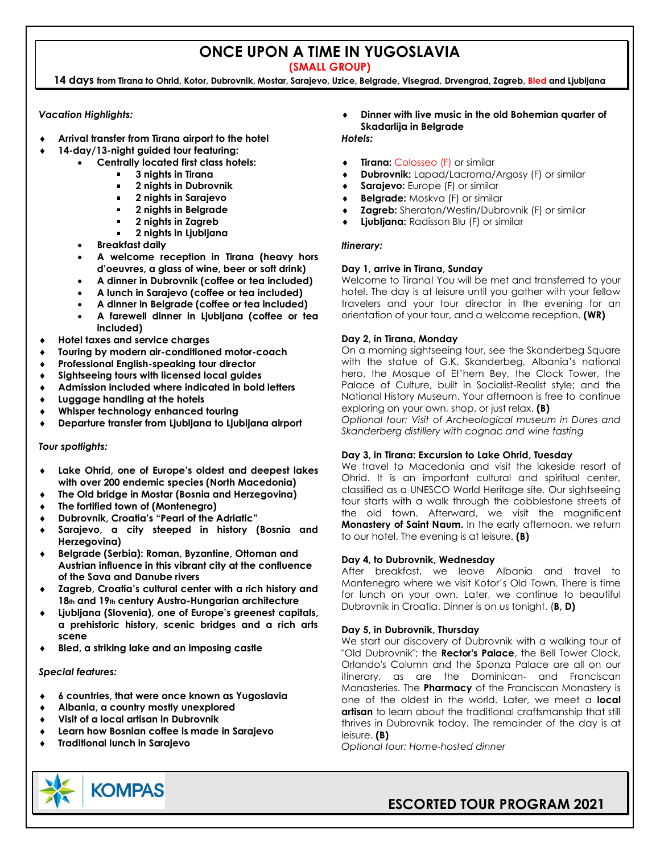## **ONCE UPON A TIME IN YUGOSLAVIA**

**(SMALL GROUP)**

**14 days from Tirana to Ohrid, Kotor, Dubrovnik, Mostar, Sarajevo, Uzice, Belgrade, Visegrad, Drvengrad, Zagreb, Bled and Ljubljana**

### *Vacation Highlights:*

- **Arrival transfer from Tirana airport to the hotel**
- **14-day/13-night guided tour featuring:**
	- **Centrally located first class hotels:**
		- **3 nights in Tirana**
		- **2 nights in Dubrovnik**
		- **2 nights in Sarajevo**
		- **2 nights in Belgrade**  $\blacksquare$
		- **2 nights in Zagreb**
		- **2 nights in Ljubljana**
		- **Breakfast daily**
		- **A welcome reception in Tirana (heavy hors d'oeuvres, a glass of wine, beer or soft drink)**
		- **A dinner in Dubrovnik (coffee or tea included)**
		- **A lunch in Sarajevo (coffee or tea included)**
		- **A dinner in Belgrade (coffee or tea included)**
		- **A farewell dinner in Ljubljana (coffee or tea included)**
- **Hotel taxes and service charges**
- **Touring by modern air-conditioned motor-coach**
- **Professional English-speaking tour director**
- **Sightseeing tours with licensed local guides**
- **Admission included where indicated in bold letters**
- **Luggage handling at the hotels**
- **Whisper technology enhanced touring**
- **Departure transfer from Ljubljana to Ljubljana airport**

### *Tour spotlights:*

- **Lake Ohrid, one of Europe's oldest and deepest lakes with over 200 endemic species (North Macedonia)**
- **The Old bridge in Mostar (Bosnia and Herzegovina)**
- **The fortified town of (Montenegro)**
- **Dubrovnik, Croatia's "Pearl of the Adriatic"**
- **Sarajevo, a city steeped in history (Bosnia and Herzegovina)**
- **Belgrade (Serbia): Roman, Byzantine, Ottoman and Austrian influence in this vibrant city at the confluence of the Sava and Danube rivers**
- **Zagreb, Croatia's cultural center with a rich history and 18th and 19th century Austro-Hungarian architecture**
- **Ljubljana (Slovenia), one of Europe's greenest capitals, a prehistoric history, scenic bridges and a rich arts scene**
- **Bled, a striking lake and an imposing castle**

### *Special features:*

- **6 countries, that were once known as Yugoslavia**
- **Albania, a country mostly unexplored**
- **Visit of a local artisan in Dubrovnik**
- **Learn how Bosnian coffee is made in Sarajevo**
- **Traditional lunch in Sarajevo**

### **Dinner with live music in the old Bohemian quarter of Skadarlija in Belgrade**

### *Hotels:*

- **Tirana:** Colosseo (F) or similar
- **Dubrovnik:** Lapad/Lacroma/Argosy (F) or similar
- **Sarajevo:** Europe (F) or similar
- **Belgrade:** Moskva (F) or similar
- **Zagreb:** Sheraton/Westin/Dubrovnik (F) or similar
- **Ljubljana:** Radisson Blu (F) or similar

### *Itinerary:*

### **Day 1, arrive in Tirana, Sunday**

Welcome to Tirana! You will be met and transferred to your hotel. The day is at leisure until you gather with your fellow travelers and your tour director in the evening for an orientation of your tour, and a welcome reception. **(WR)**

### **Day 2, in Tirana, Monday**

On a morning sightseeing tour, see the Skanderbeg Square with the statue of G.K. Skanderbeg, Albania's national hero, the Mosque of Et'hem Bey, the Clock Tower, the Palace of Culture, built in Socialist-Realist style; and the National History Museum. Your afternoon is free to continue exploring on your own, shop, or just relax. **(B)**

*Optional tour: Visit of Archeological museum in Dures and Skanderberg distillery with cognac and wine tasting*

### **Day 3, in Tirana: Excursion to Lake Ohrid, Tuesday**

We travel to Macedonia and visit the lakeside resort of Ohrid. It is an important cultural and spiritual center, classified as a UNESCO World Heritage site. Our sightseeing tour starts with a walk through the cobblestone streets of the old town. Afterward, we visit the magnificent **Monastery of Saint Naum.** In the early afternoon, we return to our hotel. The evening is at leisure. **(B)**

### **Day 4, to Dubrovnik, Wednesday**

After breakfast, we leave Albania and travel to Montenegro where we visit Kotor's Old Town. There is time for lunch on your own. Later, we continue to beautiful Dubrovnik in Croatia. Dinner is on us tonight. (**B, D)**

### **Day 5, in Dubrovnik, Thursday**

We start our discovery of Dubrovnik with a walking tour of "Old Dubrovnik"; the **Rector's Palace**, the Bell Tower Clock, Orlando's Column and the Sponza Palace are all on our itinerary, as are the Dominican- and Franciscan Monasteries. The **Pharmacy** of the Franciscan Monastery is one of the oldest in the world. Later, we meet a **local artisan** to learn about the traditional craftsmanship that still thrives in Dubrovnik today. The remainder of the day is at leisure. **(B)**

*Optional tour: Home-hosted dinner*



## **ESCORTED TOUR PROGRAM 2021**